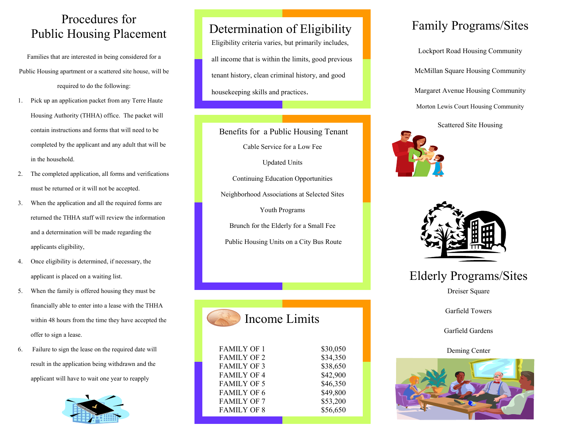## Procedures for Public Housing Placement Determination of Eligibility

Families that are interested in being considered for a Public Housing apartment or a scattered site house, will be required to do the following:

- 1. Pick up an application packet from any Terre Haute Housing Authority (THHA) office. The packet will contain instructions and forms that will need to becompleted by the applicant and any adult that will be in the household.
- 2. The completed application, all forms and verifications must be returned or it will not be accepted.
- 3. When the application and all the required forms are returned the THHA staff will review the informationand a determination will be made regarding the applicants eligibility,
- 4. Once eligibility is determined, if necessary, the applicant is placed on a waiting list.
- 5. When the family is offered housing they must be financially able to enter into a lease with the THHA within 48 hours from the time they have accepted the offer to sign a lease.
- 6. Failure to sign the lease on the required date will result in the application being withdrawn and the applicant will have to wait one year to reapply



Eligibility criteria varies, but primarily includes, all income that is within the limits, good previoustenant history, clean criminal history, and good housekeeping skills and practices.

Cable Service for a Low Fee Updated Units Continuing Education Opportunities Neighborhood Associations at Selected Sites Youth Programs Brunch for the Elderly for a Small Fee Public Housing Units on a City Bus Route Benefits for a Public Housing Tenant

Income Limits

| <b>FAMILY OF 1</b> | \$30,050 |
|--------------------|----------|
| <b>FAMILY OF 2</b> | \$34,350 |
| <b>FAMILY OF 3</b> | \$38,650 |
| <b>FAMILY OF 4</b> | \$42,900 |
| <b>FAMILY OF 5</b> | \$46,350 |
| <b>FAMILY OF 6</b> | \$49,800 |
| <b>FAMILY OF 7</b> | \$53,200 |
| <b>FAMILY OF 8</b> | \$56,650 |
|                    |          |

# Family Programs/Sites

Lockport Road Housing Community McMillan Square Housing Community Margaret Avenue Housing Community Morton Lewis Court Housing Community

Scattered Site Housing





Elderly Programs/Sites

Dreiser Square

Garfield Towers

Garfield Gardens

Deming Center